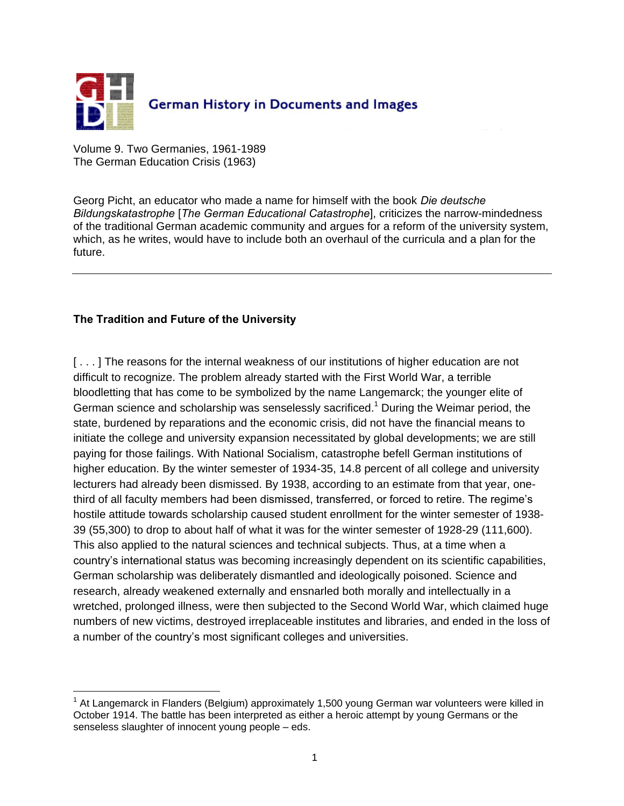

Volume 9. Two Germanies, 1961-1989 The German Education Crisis (1963)

Georg Picht, an educator who made a name for himself with the book *Die deutsche Bildungskatastrophe* [*The German Educational Catastrophe*], criticizes the narrow-mindedness of the traditional German academic community and argues for a reform of the university system, which, as he writes, would have to include both an overhaul of the curricula and a plan for the future.

## **The Tradition and Future of the University**

 $\overline{a}$ 

[...] The reasons for the internal weakness of our institutions of higher education are not difficult to recognize. The problem already started with the First World War, a terrible bloodletting that has come to be symbolized by the name Langemarck; the younger elite of German science and scholarship was senselessly sacrificed.<sup>1</sup> During the Weimar period, the state, burdened by reparations and the economic crisis, did not have the financial means to initiate the college and university expansion necessitated by global developments; we are still paying for those failings. With National Socialism, catastrophe befell German institutions of higher education. By the winter semester of 1934-35, 14.8 percent of all college and university lecturers had already been dismissed. By 1938, according to an estimate from that year, onethird of all faculty members had been dismissed, transferred, or forced to retire. The regime's hostile attitude towards scholarship caused student enrollment for the winter semester of 1938- 39 (55,300) to drop to about half of what it was for the winter semester of 1928-29 (111,600). This also applied to the natural sciences and technical subjects. Thus, at a time when a country's international status was becoming increasingly dependent on its scientific capabilities, German scholarship was deliberately dismantled and ideologically poisoned. Science and research, already weakened externally and ensnarled both morally and intellectually in a wretched, prolonged illness, were then subjected to the Second World War, which claimed huge numbers of new victims, destroyed irreplaceable institutes and libraries, and ended in the loss of a number of the country's most significant colleges and universities.

 $<sup>1</sup>$  At Langemarck in Flanders (Belgium) approximately 1,500 young German war volunteers were killed in</sup> October 1914. The battle has been interpreted as either a heroic attempt by young Germans or the senseless slaughter of innocent young people – eds.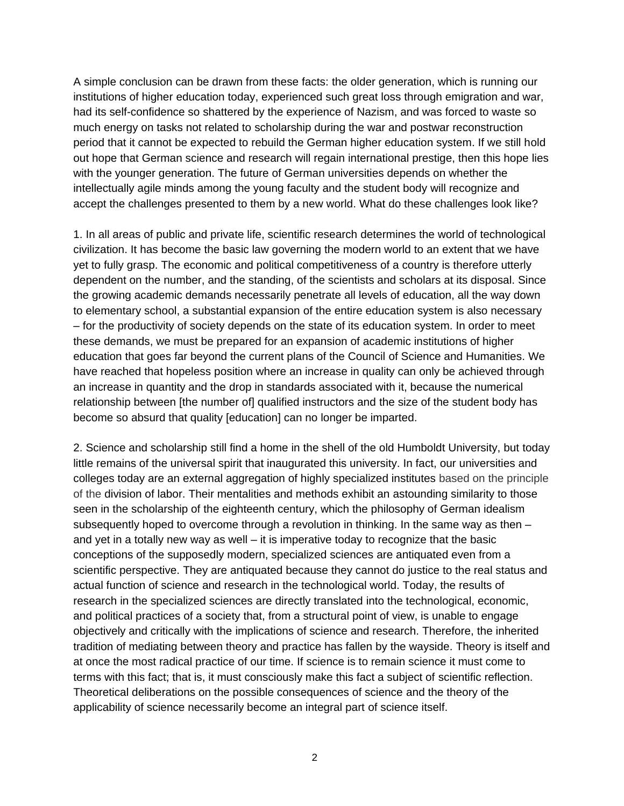A simple conclusion can be drawn from these facts: the older generation, which is running our institutions of higher education today, experienced such great loss through emigration and war, had its self-confidence so shattered by the experience of Nazism, and was forced to waste so much energy on tasks not related to scholarship during the war and postwar reconstruction period that it cannot be expected to rebuild the German higher education system. If we still hold out hope that German science and research will regain international prestige, then this hope lies with the younger generation. The future of German universities depends on whether the intellectually agile minds among the young faculty and the student body will recognize and accept the challenges presented to them by a new world. What do these challenges look like?

1. In all areas of public and private life, scientific research determines the world of technological civilization. It has become the basic law governing the modern world to an extent that we have yet to fully grasp. The economic and political competitiveness of a country is therefore utterly dependent on the number, and the standing, of the scientists and scholars at its disposal. Since the growing academic demands necessarily penetrate all levels of education, all the way down to elementary school, a substantial expansion of the entire education system is also necessary – for the productivity of society depends on the state of its education system. In order to meet these demands, we must be prepared for an expansion of academic institutions of higher education that goes far beyond the current plans of the Council of Science and Humanities. We have reached that hopeless position where an increase in quality can only be achieved through an increase in quantity and the drop in standards associated with it, because the numerical relationship between [the number of] qualified instructors and the size of the student body has become so absurd that quality [education] can no longer be imparted.

2. Science and scholarship still find a home in the shell of the old Humboldt University, but today little remains of the universal spirit that inaugurated this university. In fact, our universities and colleges today are an external aggregation of highly specialized institutes based on the principle of the division of labor. Their mentalities and methods exhibit an astounding similarity to those seen in the scholarship of the eighteenth century, which the philosophy of German idealism subsequently hoped to overcome through a revolution in thinking. In the same way as then – and yet in a totally new way as well – it is imperative today to recognize that the basic conceptions of the supposedly modern, specialized sciences are antiquated even from a scientific perspective. They are antiquated because they cannot do justice to the real status and actual function of science and research in the technological world. Today, the results of research in the specialized sciences are directly translated into the technological, economic, and political practices of a society that, from a structural point of view, is unable to engage objectively and critically with the implications of science and research. Therefore, the inherited tradition of mediating between theory and practice has fallen by the wayside. Theory is itself and at once the most radical practice of our time. If science is to remain science it must come to terms with this fact; that is, it must consciously make this fact a subject of scientific reflection. Theoretical deliberations on the possible consequences of science and the theory of the applicability of science necessarily become an integral part of science itself.